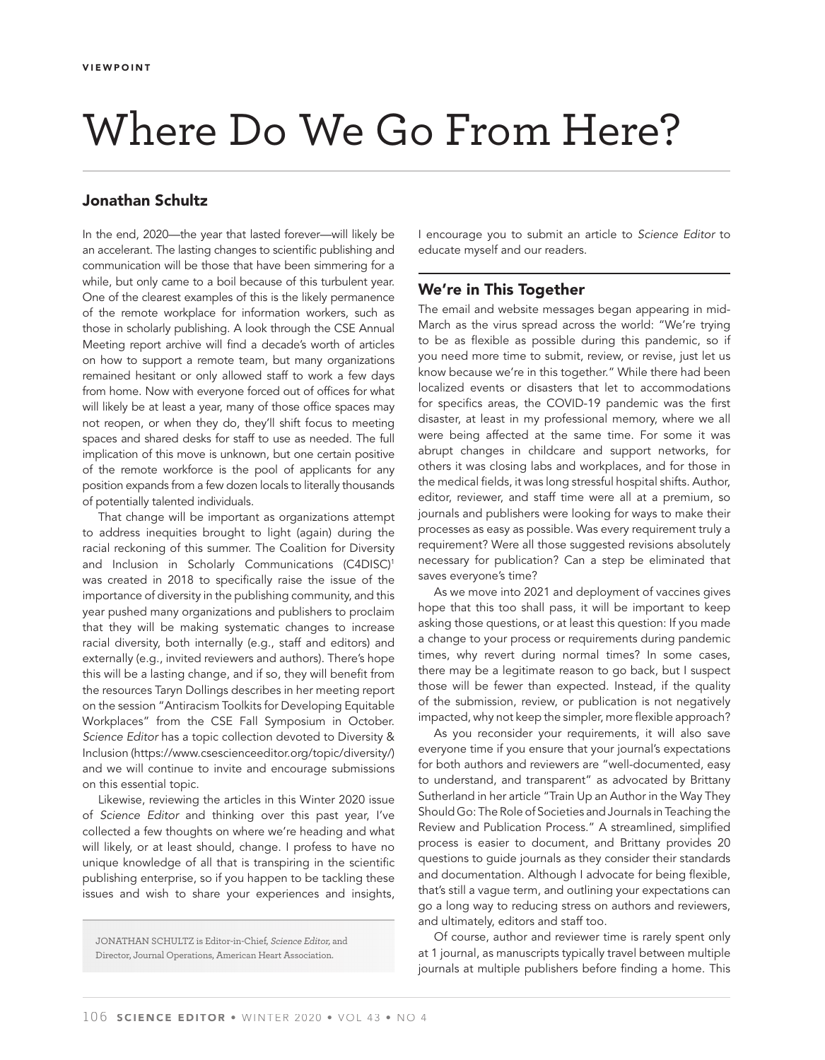# Where Do We Go From Here?

## Jonathan Schultz

In the end, 2020—the year that lasted forever—will likely be an accelerant. The lasting changes to scientific publishing and communication will be those that have been simmering for a while, but only came to a boil because of this turbulent year. One of the clearest examples of this is the likely permanence of the remote workplace for information workers, such as those in scholarly publishing. A look through the CSE Annual Meeting report archive will find a decade's worth of articles on how to support a remote team, but many organizations remained hesitant or only allowed staff to work a few days from home. Now with everyone forced out of offices for what will likely be at least a year, many of those office spaces may not reopen, or when they do, they'll shift focus to meeting spaces and shared desks for staff to use as needed. The full implication of this move is unknown, but one certain positive of the remote workforce is the pool of applicants for any position expands from a few dozen locals to literally thousands of potentially talented individuals.

That change will be important as organizations attempt to address inequities brought to light (again) during the racial reckoning of this summer. The Coalition for Diversity and Inclusion in Scholarly Communications (C4DISC)<sup>1</sup> was created in 2018 to specifically raise the issue of the importance of diversity in the publishing community, and this year pushed many organizations and publishers to proclaim that they will be making systematic changes to increase racial diversity, both internally (e.g., staff and editors) and externally (e.g., invited reviewers and authors). There's hope this will be a lasting change, and if so, they will benefit from the resources Taryn Dollings describes in her meeting report on the session "Antiracism Toolkits for Developing Equitable Workplaces" from the CSE Fall Symposium in October. *Science Editor* has a topic collection devoted to Diversity & Inclusion (https://www.csescienceeditor.org/topic/diversity/) and we will continue to invite and encourage submissions on this essential topic.

Likewise, reviewing the articles in this Winter 2020 issue of *Science Editor* and thinking over this past year, I've collected a few thoughts on where we're heading and what will likely, or at least should, change. I profess to have no unique knowledge of all that is transpiring in the scientific publishing enterprise, so if you happen to be tackling these issues and wish to share your experiences and insights,

JONATHAN SCHULTZ is Editor-in-Chief, Science Editor, and Director, Journal Operations, American Heart Association.

I encourage you to submit an article to *Science Editor* to educate myself and our readers.

# We're in This Together

The email and website messages began appearing in mid-March as the virus spread across the world: "We're trying to be as flexible as possible during this pandemic, so if you need more time to submit, review, or revise, just let us know because we're in this together." While there had been localized events or disasters that let to accommodations for specifics areas, the COVID-19 pandemic was the first disaster, at least in my professional memory, where we all were being affected at the same time. For some it was abrupt changes in childcare and support networks, for others it was closing labs and workplaces, and for those in the medical fields, it was long stressful hospital shifts. Author, editor, reviewer, and staff time were all at a premium, so journals and publishers were looking for ways to make their processes as easy as possible. Was every requirement truly a requirement? Were all those suggested revisions absolutely necessary for publication? Can a step be eliminated that saves everyone's time?

As we move into 2021 and deployment of vaccines gives hope that this too shall pass, it will be important to keep asking those questions, or at least this question: If you made a change to your process or requirements during pandemic times, why revert during normal times? In some cases, there may be a legitimate reason to go back, but I suspect those will be fewer than expected. Instead, if the quality of the submission, review, or publication is not negatively impacted, why not keep the simpler, more flexible approach?

As you reconsider your requirements, it will also save everyone time if you ensure that your journal's expectations for both authors and reviewers are "well-documented, easy to understand, and transparent" as advocated by Brittany Sutherland in her article "Train Up an Author in the Way They Should Go: The Role of Societies and Journals in Teaching the Review and Publication Process." A streamlined, simplified process is easier to document, and Brittany provides 20 questions to guide journals as they consider their standards and documentation. Although I advocate for being flexible, that's still a vague term, and outlining your expectations can go a long way to reducing stress on authors and reviewers, and ultimately, editors and staff too.

Of course, author and reviewer time is rarely spent only at 1 journal, as manuscripts typically travel between multiple journals at multiple publishers before finding a home. This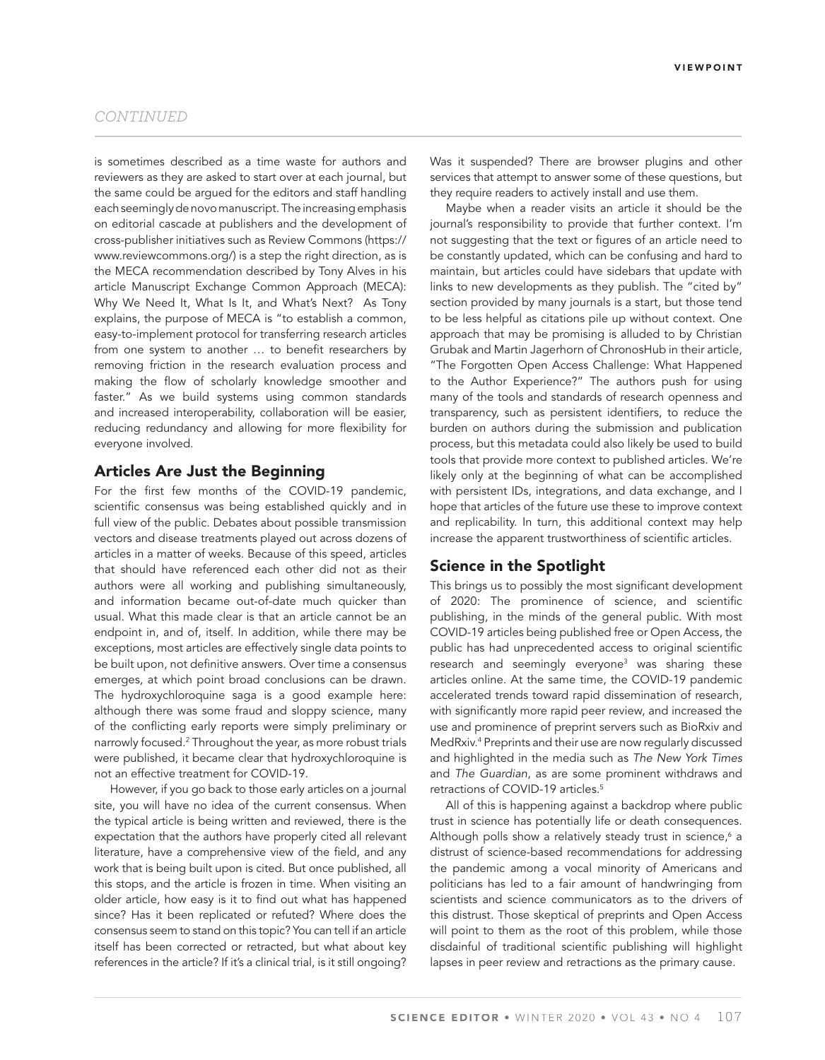is sometimes described as a time waste for authors and reviewers as they are asked to start over at each journal, but the same could be argued for the editors and staff handling each seemingly de novo manuscript. The increasing emphasis on editorial cascade at publishers and the development of cross-publisher initiatives such as Review Commons (https:// www.reviewcommons.org/) is a step the right direction, as is the MECA recommendation described by Tony Alves in his article Manuscript Exchange Common Approach (MECA): Why We Need It, What Is It, and What's Next? As Tony explains, the purpose of MECA is "to establish a common, easy-to-implement protocol for transferring research articles from one system to another ... to benefit researchers by removing friction in the research evaluation process and making the flow of scholarly knowledge smoother and faster." As we build systems using common standards and increased interoperability, collaboration will be easier, reducing redundancy and allowing for more flexibility for everyone involved.

#### Articles Are Just the Beginning

For the first few months of the COVID-19 pandemic, scientific consensus was being established quickly and in full view of the public. Debates about possible transmission vectors and disease treatments played out across dozens of articles in a matter of weeks. Because of this speed, articles that should have referenced each other did not as their authors were all working and publishing simultaneously, and information became out-of-date much quicker than usual. What this made clear is that an article cannot be an endpoint in, and of, itself. In addition, while there may be exceptions, most articles are effectively single data points to be built upon, not definitive answers. Over time a consensus emerges, at which point broad conclusions can be drawn. The hydroxychloroquine saga is a good example here: although there was some fraud and sloppy science, many of the conflicting early reports were simply preliminary or narrowly focused.2 Throughout the year, as more robust trials were published, it became clear that hydroxychloroquine is not an effective treatment for COVID-19.

However, if you go back to those early articles on a journal site, you will have no idea of the current consensus. When the typical article is being written and reviewed, there is the expectation that the authors have properly cited all relevant literature, have a comprehensive view of the field, and any work that is being built upon is cited. But once published, all this stops, and the article is frozen in time. When visiting an older article, how easy is it to find out what has happened since? Has it been replicated or refuted? Where does the consensus seem to stand on this topic? You can tell if an article itself has been corrected or retracted, but what about key references in the article? If it's a clinical trial, is it still ongoing?

Was it suspended? There are browser plugins and other services that attempt to answer some of these questions, but they require readers to actively install and use them.

Maybe when a reader visits an article it should be the journal's responsibility to provide that further context. I'm not suggesting that the text or figures of an article need to be constantly updated, which can be confusing and hard to maintain, but articles could have sidebars that update with links to new developments as they publish. The "cited by" section provided by many journals is a start, but those tend to be less helpful as citations pile up without context. One approach that may be promising is alluded to by Christian Grubak and Martin Jagerhorn of ChronosHub in their article, "The Forgotten Open Access Challenge: What Happened to the Author Experience?" The authors push for using many of the tools and standards of research openness and transparency, such as persistent identifiers, to reduce the burden on authors during the submission and publication process, but this metadata could also likely be used to build tools that provide more context to published articles. We're likely only at the beginning of what can be accomplished with persistent IDs, integrations, and data exchange, and I hope that articles of the future use these to improve context and replicability. In turn, this additional context may help increase the apparent trustworthiness of scientific articles.

# Science in the Spotlight

This brings us to possibly the most significant development of 2020: The prominence of science, and scientific publishing, in the minds of the general public. With most COVID-19 articles being published free or Open Access, the public has had unprecedented access to original scientific research and seemingly everyone3 was sharing these articles online. At the same time, the COVID-19 pandemic accelerated trends toward rapid dissemination of research, with significantly more rapid peer review, and increased the use and prominence of preprint servers such as BioRxiv and MedRxiv.4 Preprints and their use are now regularly discussed and highlighted in the media such as *The New York Times* and *The Guardian*, as are some prominent withdraws and retractions of COVID-19 articles.<sup>5</sup>

All of this is happening against a backdrop where public trust in science has potentially life or death consequences. Although polls show a relatively steady trust in science,<sup>6</sup> a distrust of science-based recommendations for addressing the pandemic among a vocal minority of Americans and politicians has led to a fair amount of handwringing from scientists and science communicators as to the drivers of this distrust. Those skeptical of preprints and Open Access will point to them as the root of this problem, while those disdainful of traditional scientific publishing will highlight lapses in peer review and retractions as the primary cause.